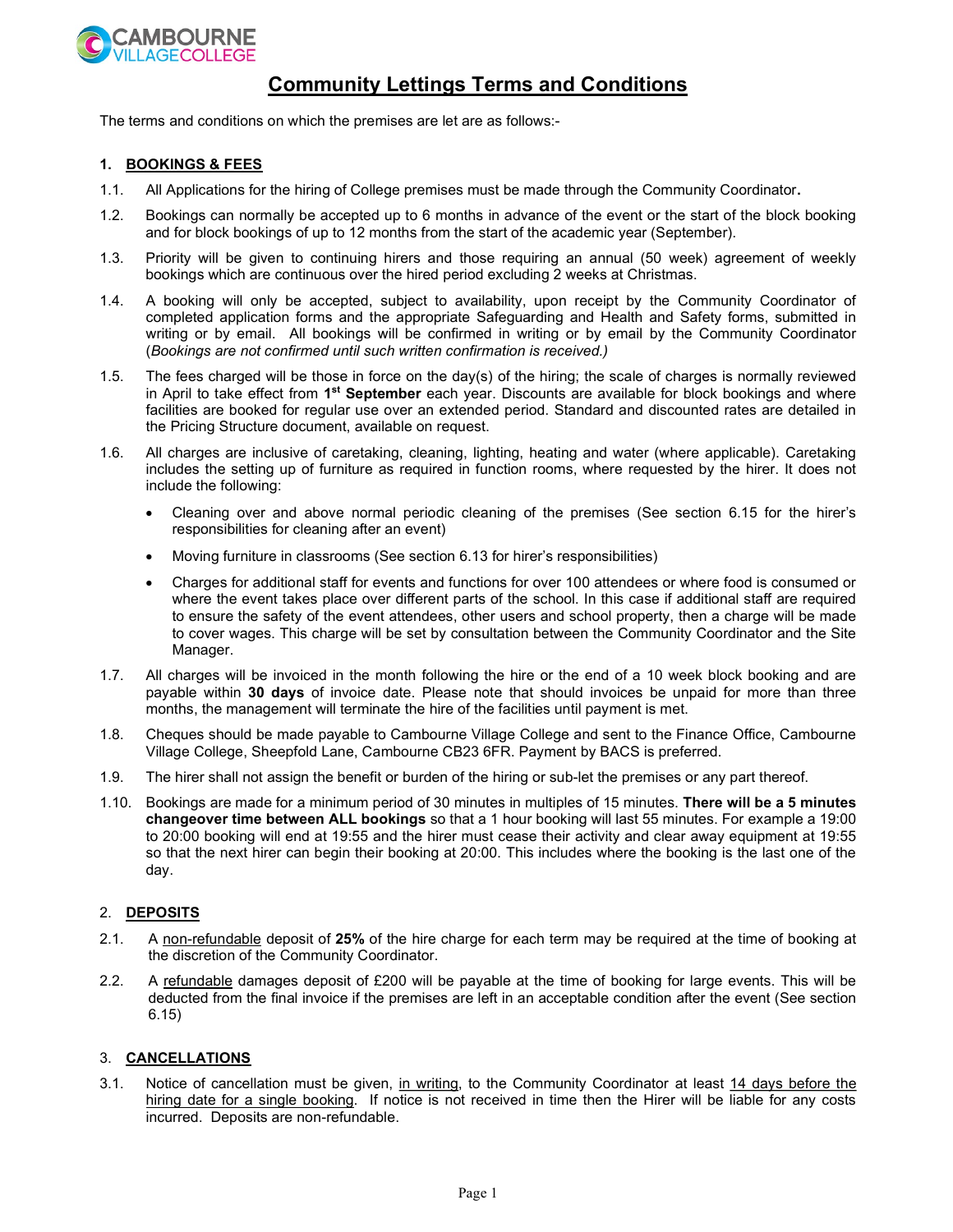

# Community Lettings Terms and Conditions

The terms and conditions on which the premises are let are as follows:-

#### 1. BOOKINGS & FEES

- 1.1. All Applications for the hiring of College premises must be made through the Community Coordinator.
- 1.2. Bookings can normally be accepted up to 6 months in advance of the event or the start of the block booking and for block bookings of up to 12 months from the start of the academic year (September).
- 1.3. Priority will be given to continuing hirers and those requiring an annual (50 week) agreement of weekly bookings which are continuous over the hired period excluding 2 weeks at Christmas.
- 1.4. A booking will only be accepted, subject to availability, upon receipt by the Community Coordinator of completed application forms and the appropriate Safeguarding and Health and Safety forms, submitted in writing or by email. All bookings will be confirmed in writing or by email by the Community Coordinator (Bookings are not confirmed until such written confirmation is received.)
- 1.5. The fees charged will be those in force on the day(s) of the hiring; the scale of charges is normally reviewed in April to take effect from 1<sup>st</sup> September each year. Discounts are available for block bookings and where facilities are booked for regular use over an extended period. Standard and discounted rates are detailed in the Pricing Structure document, available on request.
- 1.6. All charges are inclusive of caretaking, cleaning, lighting, heating and water (where applicable). Caretaking includes the setting up of furniture as required in function rooms, where requested by the hirer. It does not include the following:
	- Cleaning over and above normal periodic cleaning of the premises (See section 6.15 for the hirer's responsibilities for cleaning after an event)
	- Moving furniture in classrooms (See section 6.13 for hirer's responsibilities)
	- Charges for additional staff for events and functions for over 100 attendees or where food is consumed or where the event takes place over different parts of the school. In this case if additional staff are required to ensure the safety of the event attendees, other users and school property, then a charge will be made to cover wages. This charge will be set by consultation between the Community Coordinator and the Site Manager.
- 1.7. All charges will be invoiced in the month following the hire or the end of a 10 week block booking and are payable within 30 days of invoice date. Please note that should invoices be unpaid for more than three months, the management will terminate the hire of the facilities until payment is met.
- 1.8. Cheques should be made payable to Cambourne Village College and sent to the Finance Office, Cambourne Village College, Sheepfold Lane, Cambourne CB23 6FR. Payment by BACS is preferred.
- 1.9. The hirer shall not assign the benefit or burden of the hiring or sub-let the premises or any part thereof.
- 1.10. Bookings are made for a minimum period of 30 minutes in multiples of 15 minutes. There will be a 5 minutes changeover time between ALL bookings so that a 1 hour booking will last 55 minutes. For example a 19:00 to 20:00 booking will end at 19:55 and the hirer must cease their activity and clear away equipment at 19:55 so that the next hirer can begin their booking at 20:00. This includes where the booking is the last one of the day.

#### 2. DEPOSITS

- 2.1. A non-refundable deposit of 25% of the hire charge for each term may be required at the time of booking at the discretion of the Community Coordinator.
- 2.2. A refundable damages deposit of £200 will be payable at the time of booking for large events. This will be deducted from the final invoice if the premises are left in an acceptable condition after the event (See section 6.15)

#### 3. CANCELLATIONS

3.1. Notice of cancellation must be given, in writing, to the Community Coordinator at least 14 days before the hiring date for a single booking. If notice is not received in time then the Hirer will be liable for any costs incurred. Deposits are non-refundable.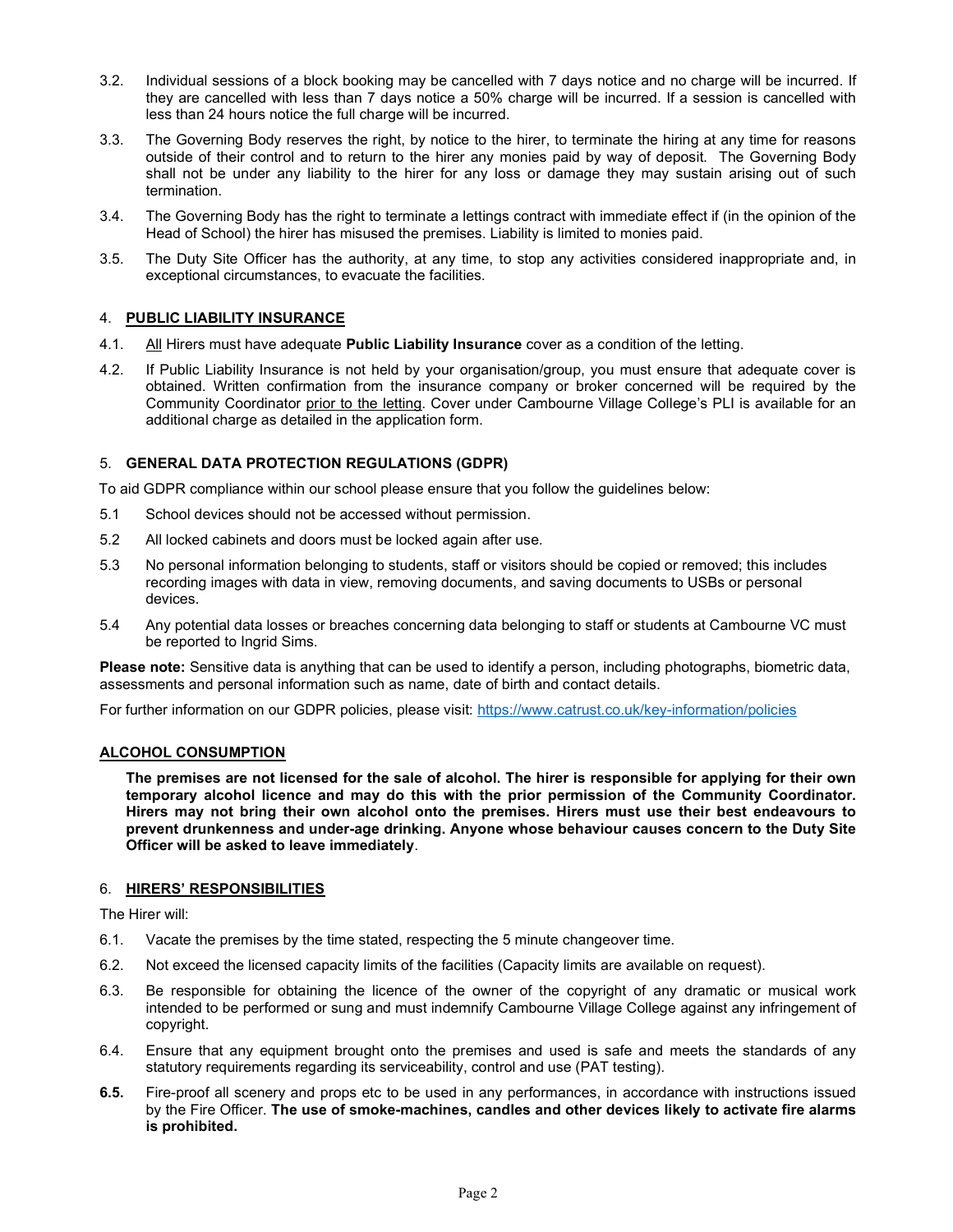- 3.2. Individual sessions of a block booking may be cancelled with 7 days notice and no charge will be incurred. If they are cancelled with less than 7 days notice a 50% charge will be incurred. If a session is cancelled with less than 24 hours notice the full charge will be incurred.
- 3.3. The Governing Body reserves the right, by notice to the hirer, to terminate the hiring at any time for reasons outside of their control and to return to the hirer any monies paid by way of deposit. The Governing Body shall not be under any liability to the hirer for any loss or damage they may sustain arising out of such termination.
- 3.4. The Governing Body has the right to terminate a lettings contract with immediate effect if (in the opinion of the Head of School) the hirer has misused the premises. Liability is limited to monies paid.
- 3.5. The Duty Site Officer has the authority, at any time, to stop any activities considered inappropriate and, in exceptional circumstances, to evacuate the facilities.

## 4. PUBLIC LIABILITY INSURANCE

- 4.1. All Hirers must have adequate **Public Liability Insurance** cover as a condition of the letting.
- 4.2. If Public Liability Insurance is not held by your organisation/group, you must ensure that adequate cover is obtained. Written confirmation from the insurance company or broker concerned will be required by the Community Coordinator prior to the letting. Cover under Cambourne Village College's PLI is available for an additional charge as detailed in the application form.

## 5. GENERAL DATA PROTECTION REGULATIONS (GDPR)

To aid GDPR compliance within our school please ensure that you follow the guidelines below:

- 5.1 School devices should not be accessed without permission.
- 5.2 All locked cabinets and doors must be locked again after use.
- 5.3 No personal information belonging to students, staff or visitors should be copied or removed; this includes recording images with data in view, removing documents, and saving documents to USBs or personal devices.
- 5.4 Any potential data losses or breaches concerning data belonging to staff or students at Cambourne VC must be reported to Ingrid Sims.

Please note: Sensitive data is anything that can be used to identify a person, including photographs, biometric data, assessments and personal information such as name, date of birth and contact details.

For further information on our GDPR policies, please visit: https://www.catrust.co.uk/key-information/policies

## ALCOHOL CONSUMPTION

The premises are not licensed for the sale of alcohol. The hirer is responsible for applying for their own temporary alcohol licence and may do this with the prior permission of the Community Coordinator. Hirers may not bring their own alcohol onto the premises. Hirers must use their best endeavours to prevent drunkenness and under-age drinking. Anyone whose behaviour causes concern to the Duty Site Officer will be asked to leave immediately.

#### 6. HIRERS' RESPONSIBILITIES

The Hirer will:

- 6.1. Vacate the premises by the time stated, respecting the 5 minute changeover time.
- 6.2. Not exceed the licensed capacity limits of the facilities (Capacity limits are available on request).
- 6.3. Be responsible for obtaining the licence of the owner of the copyright of any dramatic or musical work intended to be performed or sung and must indemnify Cambourne Village College against any infringement of copyright.
- 6.4. Ensure that any equipment brought onto the premises and used is safe and meets the standards of any statutory requirements regarding its serviceability, control and use (PAT testing).
- 6.5. Fire-proof all scenery and props etc to be used in any performances, in accordance with instructions issued by the Fire Officer. The use of smoke-machines, candles and other devices likely to activate fire alarms is prohibited.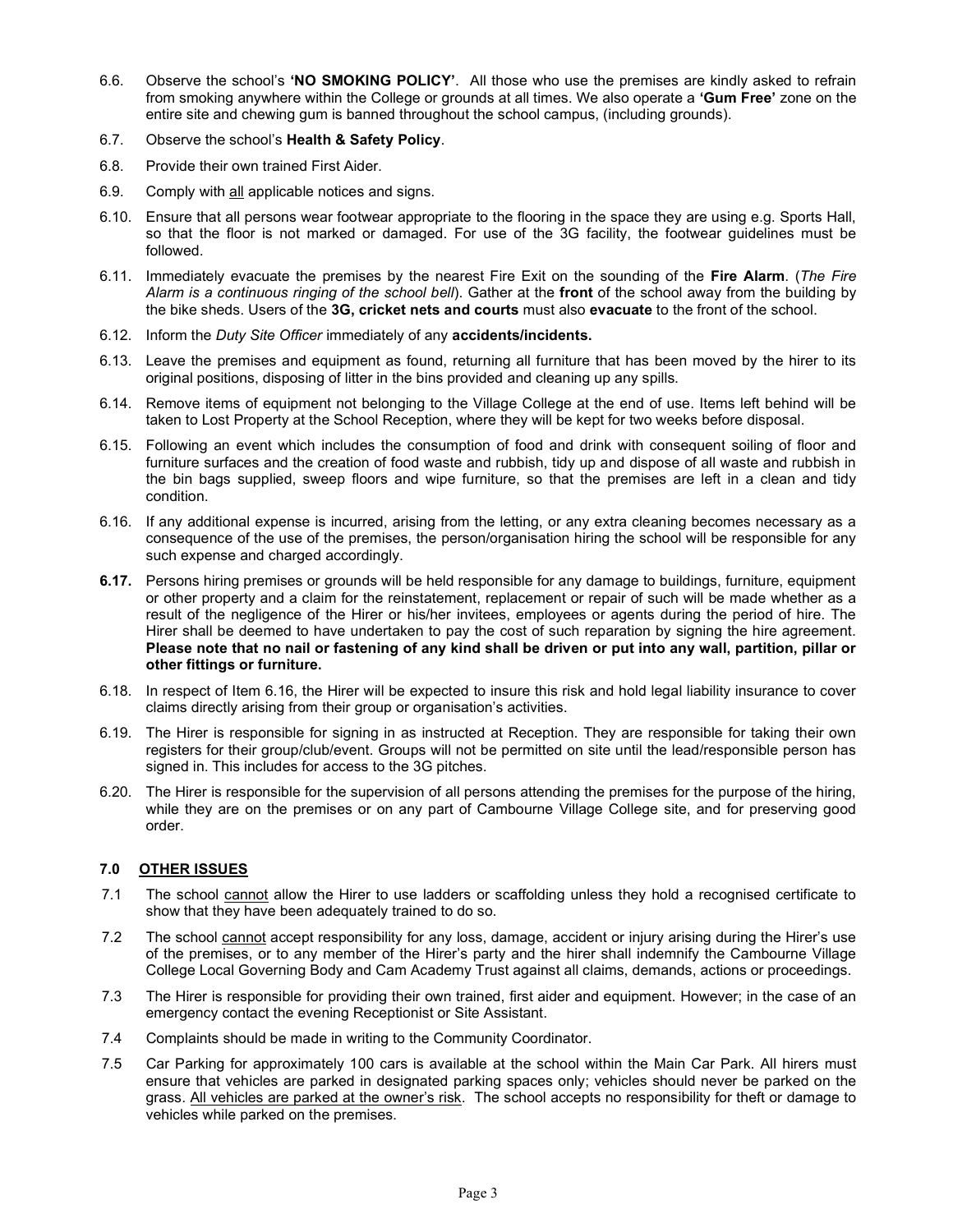- 6.6. Observe the school's 'NO SMOKING POLICY'. All those who use the premises are kindly asked to refrain from smoking anywhere within the College or grounds at all times. We also operate a 'Gum Free' zone on the entire site and chewing gum is banned throughout the school campus, (including grounds).
- 6.7. Observe the school's Health & Safety Policy.
- 6.8. Provide their own trained First Aider.
- 6.9. Comply with all applicable notices and signs.
- 6.10. Ensure that all persons wear footwear appropriate to the flooring in the space they are using e.g. Sports Hall, so that the floor is not marked or damaged. For use of the 3G facility, the footwear guidelines must be followed.
- 6.11. Immediately evacuate the premises by the nearest Fire Exit on the sounding of the Fire Alarm. (The Fire Alarm is a continuous ringing of the school bell). Gather at the front of the school away from the building by the bike sheds. Users of the 3G, cricket nets and courts must also evacuate to the front of the school.
- 6.12. Inform the Duty Site Officer immediately of any accidents/incidents.
- 6.13. Leave the premises and equipment as found, returning all furniture that has been moved by the hirer to its original positions, disposing of litter in the bins provided and cleaning up any spills.
- 6.14. Remove items of equipment not belonging to the Village College at the end of use. Items left behind will be taken to Lost Property at the School Reception, where they will be kept for two weeks before disposal.
- 6.15. Following an event which includes the consumption of food and drink with consequent soiling of floor and furniture surfaces and the creation of food waste and rubbish, tidy up and dispose of all waste and rubbish in the bin bags supplied, sweep floors and wipe furniture, so that the premises are left in a clean and tidy condition.
- 6.16. If any additional expense is incurred, arising from the letting, or any extra cleaning becomes necessary as a consequence of the use of the premises, the person/organisation hiring the school will be responsible for any such expense and charged accordingly.
- 6.17. Persons hiring premises or grounds will be held responsible for any damage to buildings, furniture, equipment or other property and a claim for the reinstatement, replacement or repair of such will be made whether as a result of the negligence of the Hirer or his/her invitees, employees or agents during the period of hire. The Hirer shall be deemed to have undertaken to pay the cost of such reparation by signing the hire agreement. Please note that no nail or fastening of any kind shall be driven or put into any wall, partition, pillar or other fittings or furniture.
- 6.18. In respect of Item 6.16, the Hirer will be expected to insure this risk and hold legal liability insurance to cover claims directly arising from their group or organisation's activities.
- 6.19. The Hirer is responsible for signing in as instructed at Reception. They are responsible for taking their own registers for their group/club/event. Groups will not be permitted on site until the lead/responsible person has signed in. This includes for access to the 3G pitches.
- 6.20. The Hirer is responsible for the supervision of all persons attending the premises for the purpose of the hiring, while they are on the premises or on any part of Cambourne Village College site, and for preserving good order.

## 7.0 OTHER ISSUES

- 7.1 The school cannot allow the Hirer to use ladders or scaffolding unless they hold a recognised certificate to show that they have been adequately trained to do so.
- 7.2 The school cannot accept responsibility for any loss, damage, accident or injury arising during the Hirer's use of the premises, or to any member of the Hirer's party and the hirer shall indemnify the Cambourne Village College Local Governing Body and Cam Academy Trust against all claims, demands, actions or proceedings.
- 7.3 The Hirer is responsible for providing their own trained, first aider and equipment. However; in the case of an emergency contact the evening Receptionist or Site Assistant.
- 7.4 Complaints should be made in writing to the Community Coordinator.
- 7.5 Car Parking for approximately 100 cars is available at the school within the Main Car Park. All hirers must ensure that vehicles are parked in designated parking spaces only; vehicles should never be parked on the grass. All vehicles are parked at the owner's risk. The school accepts no responsibility for theft or damage to vehicles while parked on the premises.